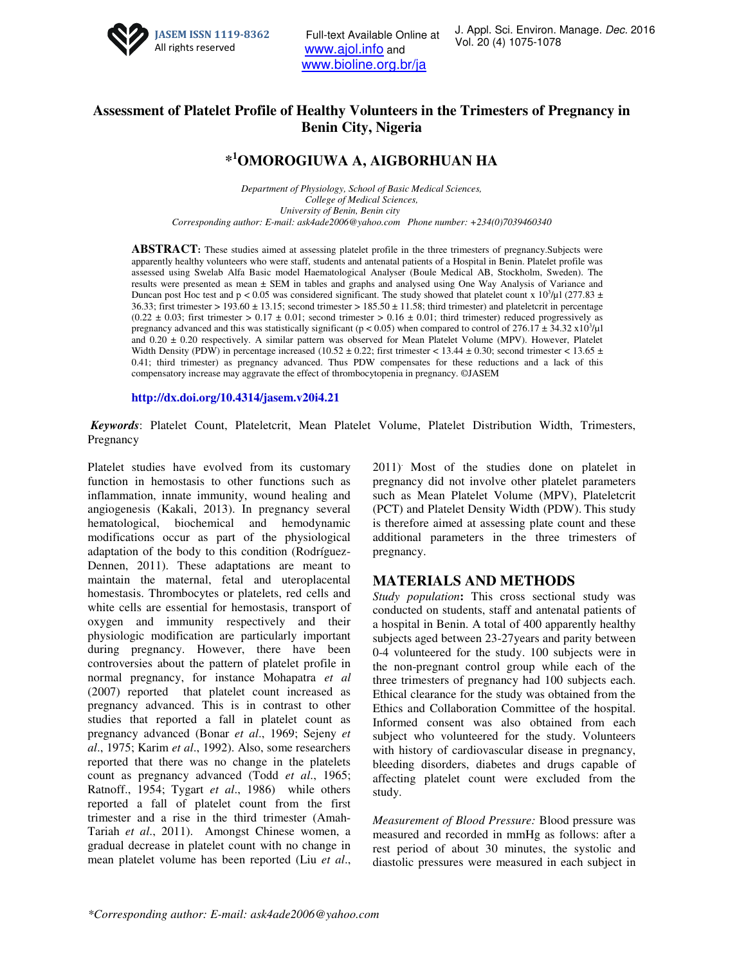

Full-text Available Online at <br>Vol. 20 (4) 1075-1078 www.ajol.info and www.bioline.org.br/ja

## **Assessment of Platelet Profile of Healthy Volunteers in the Trimesters of Pregnancy in Benin City, Nigeria**

# **\* <sup>1</sup>OMOROGIUWA A, AIGBORHUAN HA**

*Department of Physiology, School of Basic Medical Sciences, College of Medical Sciences, University of Benin, Benin city Corresponding author: E-mail: ask4ade2006@yahoo.com Phone number: +234(0)7039460340* 

**ABSTRACT:** These studies aimed at assessing platelet profile in the three trimesters of pregnancy.Subjects were apparently healthy volunteers who were staff, students and antenatal patients of a Hospital in Benin. Platelet profile was assessed using Swelab Alfa Basic model Haematological Analyser (Boule Medical AB, Stockholm, Sweden). The results were presented as mean ± SEM in tables and graphs and analysed using One Way Analysis of Variance and Duncan post Hoc test and p < 0.05 was considered significant. The study showed that platelet count x  $10^3$ /µl (277.83  $\pm$ 36.33; first trimester > 193.60  $\pm$  13.15; second trimester > 185.50  $\pm$  11.58; third trimester) and plateletcrit in percentage  $(0.22 \pm 0.03$ ; first trimester > 0.17  $\pm$  0.01; second trimester > 0.16  $\pm$  0.01; third trimester) reduced progressively as pregnancy advanced and this was statistically significant ( $p < 0.05$ ) when compared to control of 276.17  $\pm$  34.32 x10<sup>3</sup>/ $\mu$ l and 0.20 ± 0.20 respectively. A similar pattern was observed for Mean Platelet Volume (MPV). However, Platelet Width Density (PDW) in percentage increased (10.52  $\pm$  0.22; first trimester < 13.44  $\pm$  0.30; second trimester < 13.65  $\pm$ 0.41; third trimester) as pregnancy advanced. Thus PDW compensates for these reductions and a lack of this compensatory increase may aggravate the effect of thrombocytopenia in pregnancy. ©JASEM

**http://dx.doi.org/10.4314/jasem.v20i4.21**

*Keywords*: Platelet Count, Plateletcrit, Mean Platelet Volume, Platelet Distribution Width, Trimesters, Pregnancy

Platelet studies have evolved from its customary function in hemostasis to other functions such as inflammation, innate immunity, wound healing and angiogenesis (Kakali, 2013). In pregnancy several hematological, biochemical and hemodynamic modifications occur as part of the physiological adaptation of the body to this condition (Rodríguez-Dennen, 2011). These adaptations are meant to maintain the maternal, fetal and uteroplacental homestasis. Thrombocytes or platelets, red cells and white cells are essential for hemostasis, transport of oxygen and immunity respectively and their physiologic modification are particularly important during pregnancy. However, there have been controversies about the pattern of platelet profile in normal pregnancy, for instance Mohapatra *et al* (2007) reported that platelet count increased as pregnancy advanced. This is in contrast to other studies that reported a fall in platelet count as pregnancy advanced (Bonar *et al*., 1969; Sejeny *et al*., 1975; Karim *et al*., 1992). Also, some researchers reported that there was no change in the platelets count as pregnancy advanced (Todd *et al*., 1965; Ratnoff., 1954; Tygart *et al*., 1986) while others reported a fall of platelet count from the first trimester and a rise in the third trimester (Amah-Tariah *et al*., 2011). Amongst Chinese women, a gradual decrease in platelet count with no change in mean platelet volume has been reported (Liu *et al*.,

2011). Most of the studies done on platelet in pregnancy did not involve other platelet parameters such as Mean Platelet Volume (MPV), Plateletcrit (PCT) and Platelet Density Width (PDW). This study is therefore aimed at assessing plate count and these additional parameters in the three trimesters of pregnancy.

#### **MATERIALS AND METHODS**

*Study population***:** This cross sectional study was conducted on students, staff and antenatal patients of a hospital in Benin. A total of 400 apparently healthy subjects aged between 23-27years and parity between 0-4 volunteered for the study. 100 subjects were in the non-pregnant control group while each of the three trimesters of pregnancy had 100 subjects each. Ethical clearance for the study was obtained from the Ethics and Collaboration Committee of the hospital. Informed consent was also obtained from each subject who volunteered for the study. Volunteers with history of cardiovascular disease in pregnancy, bleeding disorders, diabetes and drugs capable of affecting platelet count were excluded from the study.

*Measurement of Blood Pressure:* Blood pressure was measured and recorded in mmHg as follows: after a rest period of about 30 minutes, the systolic and diastolic pressures were measured in each subject in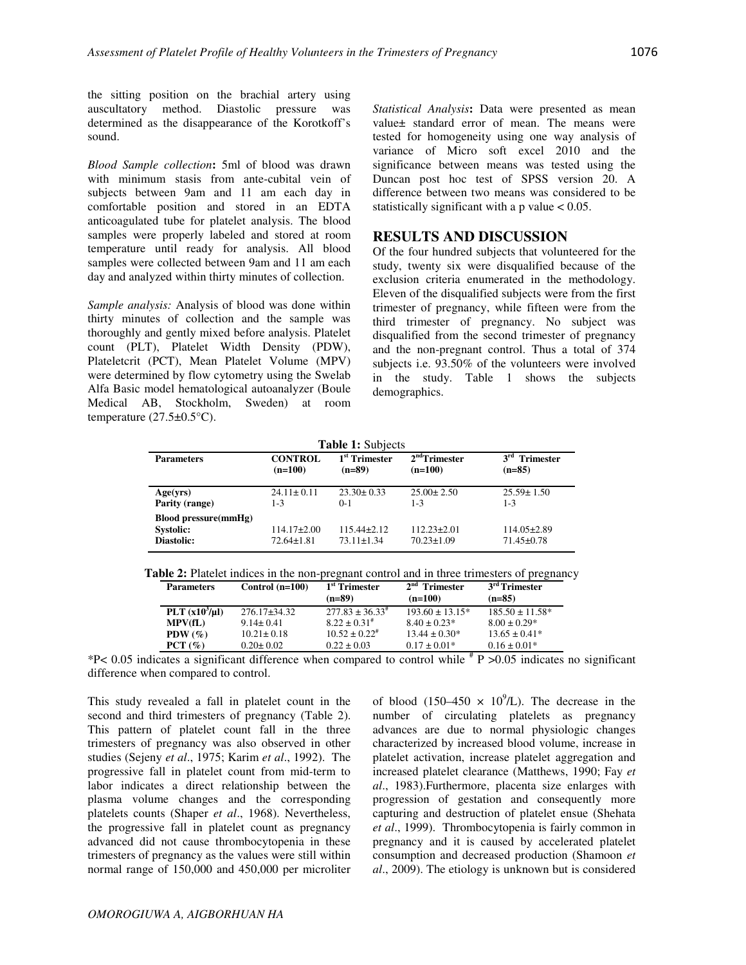the sitting position on the brachial artery using auscultatory method. Diastolic pressure was determined as the disappearance of the Korotkoff's sound.

*Blood Sample collection***:** 5ml of blood was drawn with minimum stasis from ante-cubital vein of subjects between 9am and 11 am each day in comfortable position and stored in an EDTA anticoagulated tube for platelet analysis. The blood samples were properly labeled and stored at room temperature until ready for analysis. All blood samples were collected between 9am and 11 am each day and analyzed within thirty minutes of collection.

*Sample analysis:* Analysis of blood was done within thirty minutes of collection and the sample was thoroughly and gently mixed before analysis. Platelet count (PLT), Platelet Width Density (PDW), Plateletcrit (PCT), Mean Platelet Volume (MPV) were determined by flow cytometry using the Swelab Alfa Basic model hematological autoanalyzer (Boule Medical AB, Stockholm, Sweden) at room temperature  $(27.5\pm0.5^{\circ}\text{C})$ .

*Statistical Analysis***:** Data were presented as mean value± standard error of mean. The means were tested for homogeneity using one way analysis of variance of Micro soft excel 2010 and the significance between means was tested using the Duncan post hoc test of SPSS version 20. A difference between two means was considered to be statistically significant with a p value  $< 0.05$ .

### **RESULTS AND DISCUSSION**

Of the four hundred subjects that volunteered for the study, twenty six were disqualified because of the exclusion criteria enumerated in the methodology. Eleven of the disqualified subjects were from the first trimester of pregnancy, while fifteen were from the third trimester of pregnancy. No subject was disqualified from the second trimester of pregnancy and the non-pregnant control. Thus a total of 374 subjects i.e. 93.50% of the volunteers were involved in the study. Table 1 shows the subjects demographics.

|  | <b>Table 1:</b> Subjects |
|--|--------------------------|
|  |                          |

| <b>Parameters</b>                                             | <b>CONTROL</b>                      | 1 <sup>st</sup> Trimester             | $2nd$ Trimester                       | $3rd$ Trimester                       |
|---------------------------------------------------------------|-------------------------------------|---------------------------------------|---------------------------------------|---------------------------------------|
|                                                               | $(n=100)$                           | $(n=89)$                              | $(n=100)$                             | $(n=85)$                              |
| Age(vrs)                                                      | $24.11 \pm 0.11$                    | $23.30 \pm 0.33$                      | $25.00 \pm 2.50$                      | $25.59 \pm 1.50$                      |
| Parity (range)                                                | $1 - 3$                             | $0-1$                                 | $1 - 3$                               | $1 - 3$                               |
| <b>Blood pressure(mmHg)</b><br><b>Systolic:</b><br>Diastolic: | $114.17\pm2.00$<br>$72.64 \pm 1.81$ | $115.44 \pm 2.12$<br>$73.11 \pm 1.34$ | $112.23 \pm 2.01$<br>$70.23 \pm 1.09$ | $114.05 \pm 2.89$<br>$71.45 \pm 0.78$ |

| PLT $(x10^3/\mu l)$<br>$277.83 \pm 36.33^{\#}$<br>$276.17 \pm 34.32$<br>$193.60 \pm 13.15^*$<br>$185.50 \pm 11.58^*$<br>$8.22 \pm 0.31^*$<br>$8.00 \pm 0.29*$<br>MPV(fL)<br>$8.40 \pm 0.23*$<br>$9.14 \pm 0.41$<br>$10.52 \pm 0.22^{\#}$<br>$10.21 \pm 0.18$<br>$13.44 \pm 0.30*$<br>$13.65 \pm 0.41*$<br>PDW $(\% )$<br>$0.16 \pm 0.01*$<br>$0.17 \pm 0.01*$<br>PCT(%)<br>$0.22 \pm 0.03$<br>$0.20 \pm 0.02$ | <b>Parameters</b> | Control $(n=100)$ | 1 <sup>st</sup> Trimester<br>$(n=89)$ | $2nd$ Trimester<br>$(n=100)$ | 3 <sup>rd</sup> Trimester<br>$(n=85)$ |
|---------------------------------------------------------------------------------------------------------------------------------------------------------------------------------------------------------------------------------------------------------------------------------------------------------------------------------------------------------------------------------------------------------------|-------------------|-------------------|---------------------------------------|------------------------------|---------------------------------------|
|                                                                                                                                                                                                                                                                                                                                                                                                               |                   |                   |                                       |                              |                                       |
|                                                                                                                                                                                                                                                                                                                                                                                                               |                   |                   |                                       |                              |                                       |
|                                                                                                                                                                                                                                                                                                                                                                                                               |                   |                   |                                       |                              |                                       |
|                                                                                                                                                                                                                                                                                                                                                                                                               |                   |                   |                                       |                              |                                       |

\*P< 0.05 indicates a significant difference when compared to control while  $*$  P >0.05 indicates no significant difference when compared to control.

This study revealed a fall in platelet count in the second and third trimesters of pregnancy (Table 2). This pattern of platelet count fall in the three trimesters of pregnancy was also observed in other studies (Sejeny *et al*., 1975; Karim *et al*., 1992). The progressive fall in platelet count from mid-term to labor indicates a direct relationship between the plasma volume changes and the corresponding platelets counts (Shaper *et al*., 1968). Nevertheless, the progressive fall in platelet count as pregnancy advanced did not cause thrombocytopenia in these trimesters of pregnancy as the values were still within normal range of 150,000 and 450,000 per microliter

of blood  $(150-450 \times 10^{9}$ /L). The decrease in the number of circulating platelets as pregnancy advances are due to normal physiologic changes characterized by increased blood volume, increase in platelet activation, increase platelet aggregation and increased platelet clearance (Matthews, 1990; Fay *et al*., 1983).Furthermore, placenta size enlarges with progression of gestation and consequently more capturing and destruction of platelet ensue (Shehata *et al*., 1999). Thrombocytopenia is fairly common in pregnancy and it is caused by accelerated platelet consumption and decreased production (Shamoon *et al*., 2009). The etiology is unknown but is considered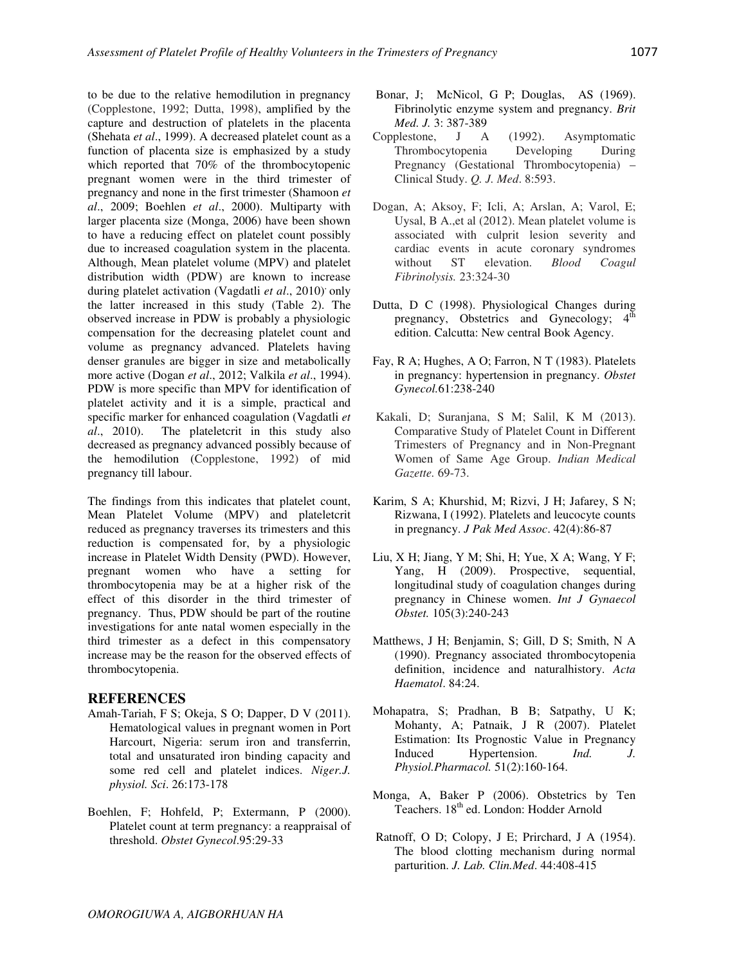to be due to the relative hemodilution in pregnancy (Copplestone, 1992; Dutta, 1998), amplified by the capture and destruction of platelets in the placenta (Shehata *et al*., 1999). A decreased platelet count as a function of placenta size is emphasized by a study which reported that 70% of the thrombocytopenic pregnant women were in the third trimester of pregnancy and none in the first trimester (Shamoon *et al*., 2009; Boehlen *et al*., 2000). Multiparty with larger placenta size (Monga, 2006) have been shown to have a reducing effect on platelet count possibly due to increased coagulation system in the placenta. Although, Mean platelet volume (MPV) and platelet distribution width (PDW) are known to increase during platelet activation (Vagdatli *et al.*, 2010)<sup>,</sup> only the latter increased in this study (Table 2). The observed increase in PDW is probably a physiologic compensation for the decreasing platelet count and volume as pregnancy advanced. Platelets having denser granules are bigger in size and metabolically more active (Dogan *et al*., 2012; Valkila *et al*., 1994). PDW is more specific than MPV for identification of platelet activity and it is a simple, practical and specific marker for enhanced coagulation (Vagdatli *et al*., 2010). The plateletcrit in this study also decreased as pregnancy advanced possibly because of the hemodilution (Copplestone, 1992) of mid pregnancy till labour.

The findings from this indicates that platelet count, Mean Platelet Volume (MPV) and plateletcrit reduced as pregnancy traverses its trimesters and this reduction is compensated for, by a physiologic increase in Platelet Width Density (PWD). However, pregnant women who have a setting for thrombocytopenia may be at a higher risk of the effect of this disorder in the third trimester of pregnancy. Thus, PDW should be part of the routine investigations for ante natal women especially in the third trimester as a defect in this compensatory increase may be the reason for the observed effects of thrombocytopenia.

#### **REFERENCES**

- Amah-Tariah, F S; Okeja, S O; Dapper, D V (2011). Hematological values in pregnant women in Port Harcourt, Nigeria: serum iron and transferrin, total and unsaturated iron binding capacity and some red cell and platelet indices. *Niger.J. physiol. Sci*. 26:173-178
- Boehlen, F; Hohfeld, P; Extermann, P (2000). Platelet count at term pregnancy: a reappraisal of threshold. *Obstet Gynecol*.95:29-33
- Bonar, J; McNicol, G P; Douglas, AS (1969). Fibrinolytic enzyme system and pregnancy. *Brit Med. J.* 3: 387-389
- Copplestone, J A (1992). Asymptomatic Thrombocytopenia Developing During Pregnancy (Gestational Thrombocytopenia) – Clinical Study. *Q. J. Med*. 8:593.
- Dogan, A; Aksoy, F; Icli, A; Arslan, A; Varol, E; Uysal, B A.,et al (2012). Mean platelet volume is associated with culprit lesion severity and cardiac events in acute coronary syndromes without ST elevation. *Blood Coagul Fibrinolysis.* 23:324-30
- Dutta, D C (1998). Physiological Changes during pregnancy, Obstetrics and Gynecology;  $4<sup>th</sup>$ edition. Calcutta: New central Book Agency.
- Fay, R A; Hughes, A O; Farron, N T (1983). Platelets in pregnancy: hypertension in pregnancy. *Obstet Gynecol.*61:238-240
- Kakali, D; Suranjana, S M; Salil, K M (2013). Comparative Study of Platelet Count in Different Trimesters of Pregnancy and in Non-Pregnant Women of Same Age Group. *Indian Medical Gazette.* 69-73.
- Karim, S A; Khurshid, M; Rizvi, J H; Jafarey, S N; Rizwana, I (1992). Platelets and leucocyte counts in pregnancy. *J Pak Med Assoc*. 42(4):86-87
- Liu, X H; Jiang, Y M; Shi, H; Yue, X A; Wang, Y F; Yang, H (2009). Prospective, sequential, longitudinal study of coagulation changes during pregnancy in Chinese women. *Int J Gynaecol Obstet.* 105(3):240-243
- Matthews, J H; Benjamin, S; Gill, D S; Smith, N A (1990). Pregnancy associated thrombocytopenia definition, incidence and naturalhistory. *Acta Haematol*. 84:24.
- Mohapatra, S; Pradhan, B B; Satpathy, U K; Mohanty, A; Patnaik, J R (2007). Platelet Estimation: Its Prognostic Value in Pregnancy Induced Hypertension. *Ind. J. Physiol.Pharmacol.* 51(2):160-164.
- Monga, A, Baker P (2006). Obstetrics by Ten Teachers. 18<sup>th</sup> ed. London: Hodder Arnold
- Ratnoff, O D; Colopy, J E; Prirchard, J A (1954). The blood clotting mechanism during normal parturition. *J. Lab. Clin.Med*. 44:408-415